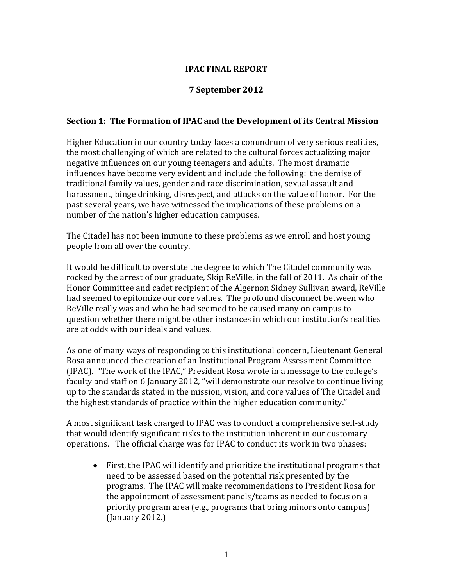### **IPAC FINAL REPORT**

#### **7 September 2012**

#### **Section 1: The Formation of IPAC and the Development of its Central Mission**

Higher Education in our country today faces a conundrum of very serious realities, the most challenging of which are related to the cultural forces actualizing major negative influences on our young teenagers and adults. The most dramatic influences have become very evident and include the following: the demise of traditional family values, gender and race discrimination, sexual assault and harassment, binge drinking, disrespect, and attacks on the value of honor. For the past several years, we have witnessed the implications of these problems on a number of the nation's higher education campuses.

The Citadel has not been immune to these problems as we enroll and host young people from all over the country.

It would be difficult to overstate the degree to which The Citadel community was rocked by the arrest of our graduate, Skip ReVille, in the fall of 2011. As chair of the Honor Committee and cadet recipient of the Algernon Sidney Sullivan award, ReVille had seemed to epitomize our core values. The profound disconnect between who ReVille really was and who he had seemed to be caused many on campus to question whether there might be other instances in which our institution's realities are at odds with our ideals and values.

As one of many ways of responding to this institutional concern, Lieutenant General Rosa announced the creation of an Institutional Program Assessment Committee (IPAC). "The work of the IPAC," President Rosa wrote in a message to the college's faculty and staff on 6 January 2012, "will demonstrate our resolve to continue living up to the standards stated in the mission, vision, and core values of The Citadel and the highest standards of practice within the higher education community."

A most significant task charged to IPAC was to conduct a comprehensive self-study that would identify significant risks to the institution inherent in our customary operations. The official charge was for IPAC to conduct its work in two phases:

First, the IPAC will identify and prioritize the institutional programs that need to be assessed based on the potential risk presented by the programs. The IPAC will make recommendations to President Rosa for the appointment of assessment panels/teams as needed to focus on a priority program area (e.g., programs that bring minors onto campus) (January 2012.)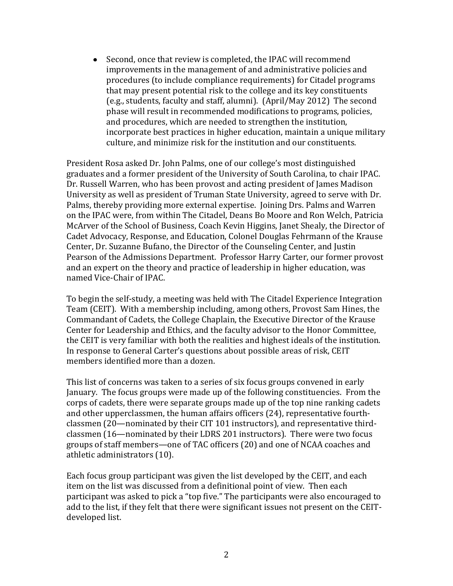Second, once that review is completed, the IPAC will recommend  $\bullet$ improvements in the management of and administrative policies and procedures (to include compliance requirements) for Citadel programs that may present potential risk to the college and its key constituents (e.g., students, faculty and staff, alumni). (April/May 2012) The second phase will result in recommended modifications to programs, policies, and procedures, which are needed to strengthen the institution, incorporate best practices in higher education, maintain a unique military culture, and minimize risk for the institution and our constituents.

President Rosa asked Dr. John Palms, one of our college's most distinguished graduates and a former president of the University of South Carolina, to chair IPAC. Dr. Russell Warren, who has been provost and acting president of James Madison University as well as president of Truman State University, agreed to serve with Dr. Palms, thereby providing more external expertise. Joining Drs. Palms and Warren on the IPAC were, from within The Citadel, Deans Bo Moore and Ron Welch, Patricia McArver of the School of Business, Coach Kevin Higgins, Janet Shealy, the Director of Cadet Advocacy, Response, and Education, Colonel Douglas Fehrmann of the Krause Center, Dr. Suzanne Bufano, the Director of the Counseling Center, and Justin Pearson of the Admissions Department. Professor Harry Carter, our former provost and an expert on the theory and practice of leadership in higher education, was named Vice-Chair of IPAC.

To begin the self-study, a meeting was held with The Citadel Experience Integration Team (CEIT). With a membership including, among others, Provost Sam Hines, the Commandant of Cadets, the College Chaplain, the Executive Director of the Krause Center for Leadership and Ethics, and the faculty advisor to the Honor Committee, the CEIT is very familiar with both the realities and highest ideals of the institution. In response to General Carter's questions about possible areas of risk, CEIT members identified more than a dozen.

This list of concerns was taken to a series of six focus groups convened in early January. The focus groups were made up of the following constituencies. From the corps of cadets, there were separate groups made up of the top nine ranking cadets and other upperclassmen, the human affairs officers (24), representative fourthclassmen (20—nominated by their CIT 101 instructors), and representative thirdclassmen (16—nominated by their LDRS 201 instructors). There were two focus groups of staff members—one of TAC officers (20) and one of NCAA coaches and athletic administrators (10).

Each focus group participant was given the list developed by the CEIT, and each item on the list was discussed from a definitional point of view. Then each participant was asked to pick a "top five." The participants were also encouraged to add to the list, if they felt that there were significant issues not present on the CEITdeveloped list.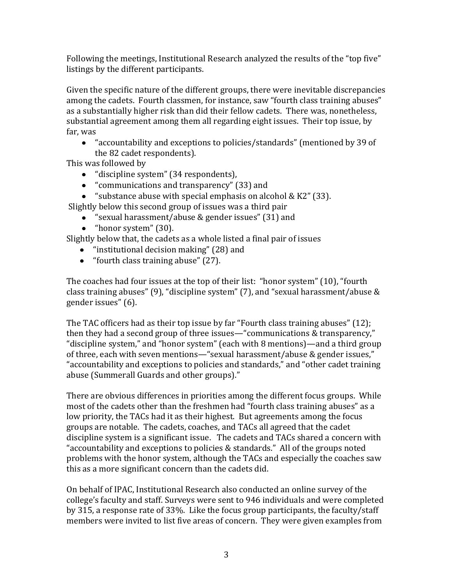Following the meetings, Institutional Research analyzed the results of the "top five" listings by the different participants.

Given the specific nature of the different groups, there were inevitable discrepancies among the cadets. Fourth classmen, for instance, saw "fourth class training abuses" as a substantially higher risk than did their fellow cadets. There was, nonetheless, substantial agreement among them all regarding eight issues. Their top issue, by far, was

"accountability and exceptions to policies/standards" (mentioned by 39 of the 82 cadet respondents).

This was followed by

- "discipline system" (34 respondents),
- "communications and transparency" (33) and
- "substance abuse with special emphasis on alcohol & K2" (33).

Slightly below this second group of issues was a third pair

- "sexual harassment/abuse & gender issues" (31) and
- "honor system" (30).

Slightly below that, the cadets as a whole listed a final pair of issues

- "institutional decision making" (28) and
- "fourth class training abuse" (27).

The coaches had four issues at the top of their list: "honor system" (10), "fourth class training abuses" (9), "discipline system" (7), and "sexual harassment/abuse & gender issues" (6).

The TAC officers had as their top issue by far "Fourth class training abuses" (12); then they had a second group of three issues—"communications & transparency," "discipline system," and "honor system" (each with 8 mentions)—and a third group of three, each with seven mentions—"sexual harassment/abuse & gender issues," "accountability and exceptions to policies and standards," and "other cadet training abuse (Summerall Guards and other groups)."

There are obvious differences in priorities among the different focus groups. While most of the cadets other than the freshmen had "fourth class training abuses" as a low priority, the TACs had it as their highest. But agreements among the focus groups are notable. The cadets, coaches, and TACs all agreed that the cadet discipline system is a significant issue. The cadets and TACs shared a concern with "accountability and exceptions to policies & standards." All of the groups noted problems with the honor system, although the TACs and especially the coaches saw this as a more significant concern than the cadets did.

On behalf of IPAC, Institutional Research also conducted an online survey of the college's faculty and staff. Surveys were sent to 946 individuals and were completed by 315, a response rate of 33%. Like the focus group participants, the faculty/staff members were invited to list five areas of concern. They were given examples from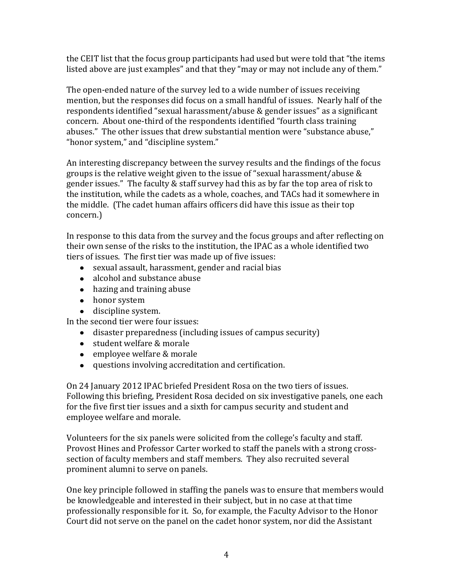the CEIT list that the focus group participants had used but were told that "the items listed above are just examples" and that they "may or may not include any of them."

The open-ended nature of the survey led to a wide number of issues receiving mention, but the responses did focus on a small handful of issues. Nearly half of the respondents identified "sexual harassment/abuse & gender issues" as a significant concern. About one-third of the respondents identified "fourth class training abuses." The other issues that drew substantial mention were "substance abuse," "honor system," and "discipline system."

An interesting discrepancy between the survey results and the findings of the focus groups is the relative weight given to the issue of "sexual harassment/abuse & gender issues." The faculty & staff survey had this as by far the top area of risk to the institution, while the cadets as a whole, coaches, and TACs had it somewhere in the middle. (The cadet human affairs officers did have this issue as their top concern.)

In response to this data from the survey and the focus groups and after reflecting on their own sense of the risks to the institution, the IPAC as a whole identified two tiers of issues. The first tier was made up of five issues:

- sexual assault, harassment, gender and racial bias
- alcohol and substance abuse
- hazing and training abuse
- honor system
- discipline system.

In the second tier were four issues:

- disaster preparedness (including issues of campus security)
- student welfare & morale
- employee welfare & morale
- questions involving accreditation and certification.

On 24 January 2012 IPAC briefed President Rosa on the two tiers of issues. Following this briefing, President Rosa decided on six investigative panels, one each for the five first tier issues and a sixth for campus security and student and employee welfare and morale.

Volunteers for the six panels were solicited from the college's faculty and staff. Provost Hines and Professor Carter worked to staff the panels with a strong crosssection of faculty members and staff members. They also recruited several prominent alumni to serve on panels.

One key principle followed in staffing the panels was to ensure that members would be knowledgeable and interested in their subject, but in no case at that time professionally responsible for it. So, for example, the Faculty Advisor to the Honor Court did not serve on the panel on the cadet honor system, nor did the Assistant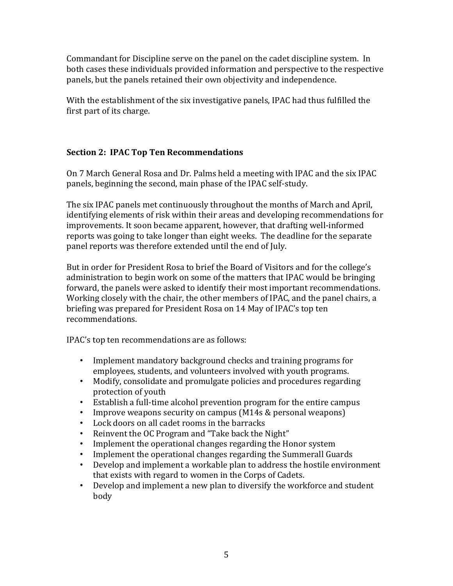Commandant for Discipline serve on the panel on the cadet discipline system. In both cases these individuals provided information and perspective to the respective panels, but the panels retained their own objectivity and independence.

With the establishment of the six investigative panels, IPAC had thus fulfilled the first part of its charge.

# **Section 2: IPAC Top Ten Recommendations**

On 7 March General Rosa and Dr. Palms held a meeting with IPAC and the six IPAC panels, beginning the second, main phase of the IPAC self-study.

The six IPAC panels met continuously throughout the months of March and April, identifying elements of risk within their areas and developing recommendations for improvements. It soon became apparent, however, that drafting well-informed reports was going to take longer than eight weeks. The deadline for the separate panel reports was therefore extended until the end of July.

But in order for President Rosa to brief the Board of Visitors and for the college's administration to begin work on some of the matters that IPAC would be bringing forward, the panels were asked to identify their most important recommendations. Working closely with the chair, the other members of IPAC, and the panel chairs, a briefing was prepared for President Rosa on 14 May of IPAC's top ten recommendations.

IPAC's top ten recommendations are as follows:

- Implement mandatory background checks and training programs for employees, students, and volunteers involved with youth programs.
- Modify, consolidate and promulgate policies and procedures regarding protection of youth
- Establish a full-time alcohol prevention program for the entire campus
- Improve weapons security on campus (M14s & personal weapons)
- Lock doors on all cadet rooms in the barracks
- Reinvent the OC Program and "Take back the Night"
- Implement the operational changes regarding the Honor system
- Implement the operational changes regarding the Summerall Guards
- Develop and implement a workable plan to address the hostile environment that exists with regard to women in the Corps of Cadets.
- Develop and implement a new plan to diversify the workforce and student body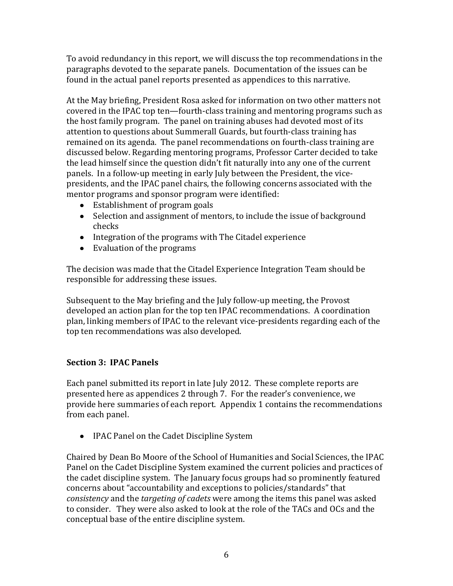To avoid redundancy in this report, we will discuss the top recommendations in the paragraphs devoted to the separate panels. Documentation of the issues can be found in the actual panel reports presented as appendices to this narrative.

At the May briefing, President Rosa asked for information on two other matters not covered in the IPAC top ten—fourth-class training and mentoring programs such as the host family program. The panel on training abuses had devoted most of its attention to questions about Summerall Guards, but fourth-class training has remained on its agenda. The panel recommendations on fourth-class training are discussed below. Regarding mentoring programs, Professor Carter decided to take the lead himself since the question didn't fit naturally into any one of the current panels. In a follow-up meeting in early July between the President, the vicepresidents, and the IPAC panel chairs, the following concerns associated with the mentor programs and sponsor program were identified:

- Establishment of program goals
- Selection and assignment of mentors, to include the issue of background checks
- Integration of the programs with The Citadel experience
- Evaluation of the programs

The decision was made that the Citadel Experience Integration Team should be responsible for addressing these issues.

Subsequent to the May briefing and the July follow-up meeting, the Provost developed an action plan for the top ten IPAC recommendations. A coordination plan, linking members of IPAC to the relevant vice-presidents regarding each of the top ten recommendations was also developed.

# **Section 3: IPAC Panels**

Each panel submitted its report in late July 2012. These complete reports are presented here as appendices 2 through 7. For the reader's convenience, we provide here summaries of each report. Appendix 1 contains the recommendations from each panel.

• IPAC Panel on the Cadet Discipline System

Chaired by Dean Bo Moore of the School of Humanities and Social Sciences, the IPAC Panel on the Cadet Discipline System examined the current policies and practices of the cadet discipline system. The January focus groups had so prominently featured concerns about "accountability and exceptions to policies/standards" that *consistency* and the *targeting of cadets* were among the items this panel was asked to consider. They were also asked to look at the role of the TACs and OCs and the conceptual base of the entire discipline system.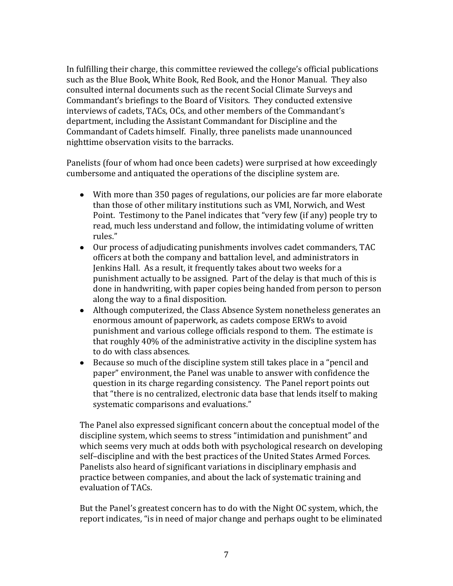In fulfilling their charge, this committee reviewed the college's official publications such as the Blue Book, White Book, Red Book, and the Honor Manual. They also consulted internal documents such as the recent Social Climate Surveys and Commandant's briefings to the Board of Visitors. They conducted extensive interviews of cadets, TACs, OCs, and other members of the Commandant's department, including the Assistant Commandant for Discipline and the Commandant of Cadets himself. Finally, three panelists made unannounced nighttime observation visits to the barracks.

Panelists (four of whom had once been cadets) were surprised at how exceedingly cumbersome and antiquated the operations of the discipline system are.

- With more than 350 pages of regulations, our policies are far more elaborate than those of other military institutions such as VMI, Norwich, and West Point. Testimony to the Panel indicates that "very few (if any) people try to read, much less understand and follow, the intimidating volume of written rules."
- Our process of adjudicating punishments involves cadet commanders, TAC officers at both the company and battalion level, and administrators in Jenkins Hall. As a result, it frequently takes about two weeks for a punishment actually to be assigned. Part of the delay is that much of this is done in handwriting, with paper copies being handed from person to person along the way to a final disposition.
- Although computerized, the Class Absence System nonetheless generates an enormous amount of paperwork, as cadets compose ERWs to avoid punishment and various college officials respond to them. The estimate is that roughly 40% of the administrative activity in the discipline system has to do with class absences.
- Because so much of the discipline system still takes place in a "pencil and paper" environment, the Panel was unable to answer with confidence the question in its charge regarding consistency. The Panel report points out that "there is no centralized, electronic data base that lends itself to making systematic comparisons and evaluations."

The Panel also expressed significant concern about the conceptual model of the discipline system, which seems to stress "intimidation and punishment" and which seems very much at odds both with psychological research on developing self–discipline and with the best practices of the United States Armed Forces. Panelists also heard of significant variations in disciplinary emphasis and practice between companies, and about the lack of systematic training and evaluation of TACs.

But the Panel's greatest concern has to do with the Night OC system, which, the report indicates, "is in need of major change and perhaps ought to be eliminated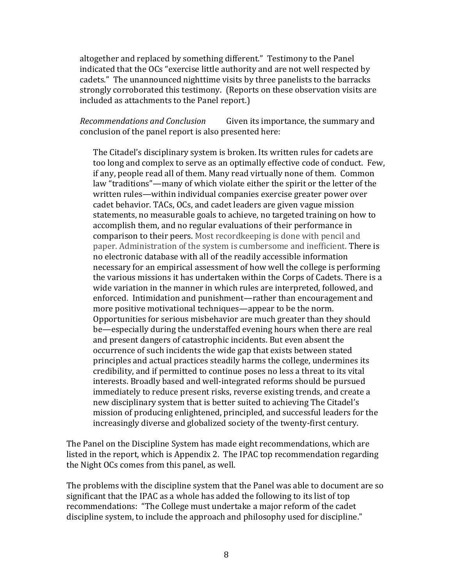altogether and replaced by something different." Testimony to the Panel indicated that the OCs "exercise little authority and are not well respected by cadets." The unannounced nighttime visits by three panelists to the barracks strongly corroborated this testimony. (Reports on these observation visits are included as attachments to the Panel report.)

*Recommendations and Conclusion* Given its importance, the summary and conclusion of the panel report is also presented here:

The Citadel's disciplinary system is broken. Its written rules for cadets are too long and complex to serve as an optimally effective code of conduct. Few, if any, people read all of them. Many read virtually none of them. Common law "traditions"—many of which violate either the spirit or the letter of the written rules—within individual companies exercise greater power over cadet behavior. TACs, OCs, and cadet leaders are given vague mission statements, no measurable goals to achieve, no targeted training on how to accomplish them, and no regular evaluations of their performance in comparison to their peers. Most recordkeeping is done with pencil and paper. Administration of the system is cumbersome and inefficient. There is no electronic database with all of the readily accessible information necessary for an empirical assessment of how well the college is performing the various missions it has undertaken within the Corps of Cadets. There is a wide variation in the manner in which rules are interpreted, followed, and enforced. Intimidation and punishment—rather than encouragement and more positive motivational techniques—appear to be the norm. Opportunities for serious misbehavior are much greater than they should be—especially during the understaffed evening hours when there are real and present dangers of catastrophic incidents. But even absent the occurrence of such incidents the wide gap that exists between stated principles and actual practices steadily harms the college, undermines its credibility, and if permitted to continue poses no less a threat to its vital interests. Broadly based and well-integrated reforms should be pursued immediately to reduce present risks, reverse existing trends, and create a new disciplinary system that is better suited to achieving The Citadel's mission of producing enlightened, principled, and successful leaders for the increasingly diverse and globalized society of the twenty-first century.

The Panel on the Discipline System has made eight recommendations, which are listed in the report, which is Appendix 2. The IPAC top recommendation regarding the Night OCs comes from this panel, as well.

The problems with the discipline system that the Panel was able to document are so significant that the IPAC as a whole has added the following to its list of top recommendations: "The College must undertake a major reform of the cadet discipline system, to include the approach and philosophy used for discipline."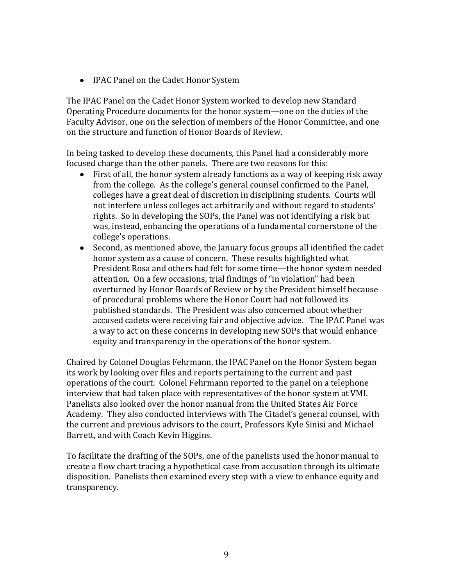• IPAC Panel on the Cadet Honor System

The IPAC Panel on the Cadet Honor System worked to develop new Standard Operating Procedure documents for the honor system—one on the duties of the Faculty Advisor, one on the selection of members of the Honor Committee, and one on the structure and function of Honor Boards of Review.

In being tasked to develop these documents, this Panel had a considerably more focused charge than the other panels. There are two reasons for this:

- First of all, the honor system already functions as a way of keeping risk away from the college. As the college's general counsel confirmed to the Panel, colleges have a great deal of discretion in disciplining students. Courts will not interfere unless colleges act arbitrarily and without regard to students' rights. So in developing the SOPs, the Panel was not identifying a risk but was, instead, enhancing the operations of a fundamental cornerstone of the college's operations.
- Second, as mentioned above, the January focus groups all identified the cadet honor system as a cause of concern. These results highlighted what President Rosa and others had felt for some time—the honor system needed attention. On a few occasions, trial findings of "in violation" had been overturned by Honor Boards of Review or by the President himself because of procedural problems where the Honor Court had not followed its published standards. The President was also concerned about whether accused cadets were receiving fair and objective advice. The IPAC Panel was a way to act on these concerns in developing new SOPs that would enhance equity and transparency in the operations of the honor system.

Chaired by Colonel Douglas Fehrmann, the IPAC Panel on the Honor System began its work by looking over files and reports pertaining to the current and past operations of the court. Colonel Fehrmann reported to the panel on a telephone interview that had taken place with representatives of the honor system at VMI. Panelists also looked over the honor manual from the United States Air Force Academy. They also conducted interviews with The Citadel's general counsel, with the current and previous advisors to the court, Professors Kyle Sinisi and Michael Barrett, and with Coach Kevin Higgins.

To facilitate the drafting of the SOPs, one of the panelists used the honor manual to create a flow chart tracing a hypothetical case from accusation through its ultimate disposition. Panelists then examined every step with a view to enhance equity and transparency.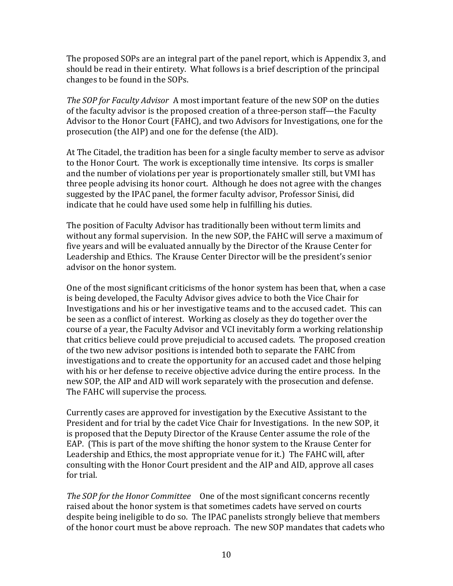The proposed SOPs are an integral part of the panel report, which is Appendix 3, and should be read in their entirety. What follows is a brief description of the principal changes to be found in the SOPs.

*The SOP for Faculty Advisor* A most important feature of the new SOP on the duties of the faculty advisor is the proposed creation of a three-person staff—the Faculty Advisor to the Honor Court (FAHC), and two Advisors for Investigations, one for the prosecution (the AIP) and one for the defense (the AID).

At The Citadel, the tradition has been for a single faculty member to serve as advisor to the Honor Court. The work is exceptionally time intensive. Its corps is smaller and the number of violations per year is proportionately smaller still, but VMI has three people advising its honor court. Although he does not agree with the changes suggested by the IPAC panel, the former faculty advisor, Professor Sinisi, did indicate that he could have used some help in fulfilling his duties.

The position of Faculty Advisor has traditionally been without term limits and without any formal supervision. In the new SOP, the FAHC will serve a maximum of five years and will be evaluated annually by the Director of the Krause Center for Leadership and Ethics. The Krause Center Director will be the president's senior advisor on the honor system.

One of the most significant criticisms of the honor system has been that, when a case is being developed, the Faculty Advisor gives advice to both the Vice Chair for Investigations and his or her investigative teams and to the accused cadet. This can be seen as a conflict of interest. Working as closely as they do together over the course of a year, the Faculty Advisor and VCI inevitably form a working relationship that critics believe could prove prejudicial to accused cadets. The proposed creation of the two new advisor positions is intended both to separate the FAHC from investigations and to create the opportunity for an accused cadet and those helping with his or her defense to receive objective advice during the entire process. In the new SOP, the AIP and AID will work separately with the prosecution and defense. The FAHC will supervise the process.

Currently cases are approved for investigation by the Executive Assistant to the President and for trial by the cadet Vice Chair for Investigations. In the new SOP, it is proposed that the Deputy Director of the Krause Center assume the role of the EAP. (This is part of the move shifting the honor system to the Krause Center for Leadership and Ethics, the most appropriate venue for it.) The FAHC will, after consulting with the Honor Court president and the AIP and AID, approve all cases for trial.

The SOP for the Honor Committee One of the most significant concerns recently raised about the honor system is that sometimes cadets have served on courts despite being ineligible to do so. The IPAC panelists strongly believe that members of the honor court must be above reproach. The new SOP mandates that cadets who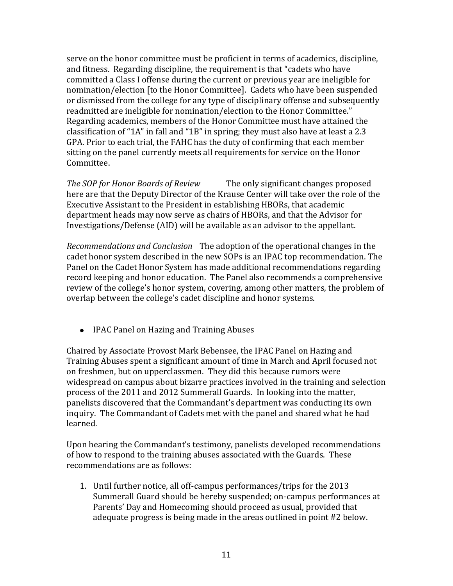serve on the honor committee must be proficient in terms of academics, discipline, and fitness. Regarding discipline, the requirement is that "cadets who have committed a Class I offense during the current or previous year are ineligible for nomination/election [to the Honor Committee]. Cadets who have been suspended or dismissed from the college for any type of disciplinary offense and subsequently readmitted are ineligible for nomination/election to the Honor Committee." Regarding academics, members of the Honor Committee must have attained the classification of "1A" in fall and "1B" in spring; they must also have at least a 2.3 GPA. Prior to each trial, the FAHC has the duty of confirming that each member sitting on the panel currently meets all requirements for service on the Honor Committee.

*The SOP for Honor Boards of Review* The only significant changes proposed here are that the Deputy Director of the Krause Center will take over the role of the Executive Assistant to the President in establishing HBORs, that academic department heads may now serve as chairs of HBORs, and that the Advisor for Investigations/Defense (AID) will be available as an advisor to the appellant.

*Recommendations and Conclusion* The adoption of the operational changes in the cadet honor system described in the new SOPs is an IPAC top recommendation. The Panel on the Cadet Honor System has made additional recommendations regarding record keeping and honor education. The Panel also recommends a comprehensive review of the college's honor system, covering, among other matters, the problem of overlap between the college's cadet discipline and honor systems.

• IPAC Panel on Hazing and Training Abuses

Chaired by Associate Provost Mark Bebensee, the IPAC Panel on Hazing and Training Abuses spent a significant amount of time in March and April focused not on freshmen, but on upperclassmen. They did this because rumors were widespread on campus about bizarre practices involved in the training and selection process of the 2011 and 2012 Summerall Guards. In looking into the matter, panelists discovered that the Commandant's department was conducting its own inquiry. The Commandant of Cadets met with the panel and shared what he had learned.

Upon hearing the Commandant's testimony, panelists developed recommendations of how to respond to the training abuses associated with the Guards. These recommendations are as follows:

1. Until further notice, all off-campus performances/trips for the 2013 Summerall Guard should be hereby suspended; on-campus performances at Parents' Day and Homecoming should proceed as usual, provided that adequate progress is being made in the areas outlined in point #2 below.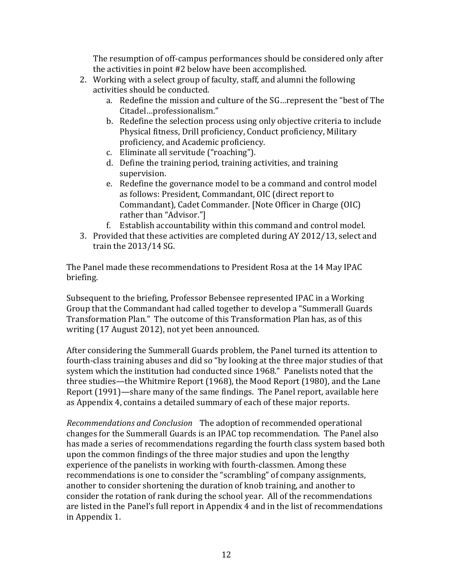The resumption of off-campus performances should be considered only after the activities in point #2 below have been accomplished.

- 2. Working with a select group of faculty, staff, and alumni the following activities should be conducted.
	- a. Redefine the mission and culture of the SG…represent the "best of The Citadel…professionalism."
	- b. Redefine the selection process using only objective criteria to include Physical fitness, Drill proficiency, Conduct proficiency, Military proficiency, and Academic proficiency.
	- c. Eliminate all servitude ("roaching").
	- d. Define the training period, training activities, and training supervision.
	- e. Redefine the governance model to be a command and control model as follows: President, Commandant, OIC (direct report to Commandant), Cadet Commander. [Note Officer in Charge (OIC) rather than "Advisor."]
	- f. Establish accountability within this command and control model.
- 3. Provided that these activities are completed during AY 2012/13, select and train the 2013/14 SG.

The Panel made these recommendations to President Rosa at the 14 May IPAC briefing.

Subsequent to the briefing, Professor Bebensee represented IPAC in a Working Group that the Commandant had called together to develop a "Summerall Guards Transformation Plan." The outcome of this Transformation Plan has, as of this writing (17 August 2012), not yet been announced.

After considering the Summerall Guards problem, the Panel turned its attention to fourth-class training abuses and did so "by looking at the three major studies of that system which the institution had conducted since 1968." Panelists noted that the three studies—the Whitmire Report (1968), the Mood Report (1980), and the Lane Report (1991)—share many of the same findings. The Panel report, available here as Appendix 4, contains a detailed summary of each of these major reports.

*Recommendations and Conclusion* The adoption of recommended operational changes for the Summerall Guards is an IPAC top recommendation. The Panel also has made a series of recommendations regarding the fourth class system based both upon the common findings of the three major studies and upon the lengthy experience of the panelists in working with fourth-classmen. Among these recommendations is one to consider the "scrambling" of company assignments, another to consider shortening the duration of knob training, and another to consider the rotation of rank during the school year. All of the recommendations are listed in the Panel's full report in Appendix 4 and in the list of recommendations in Appendix 1.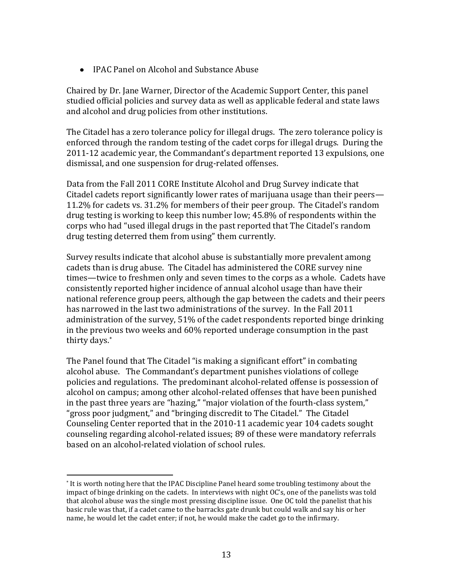IPAC Panel on Alcohol and Substance Abuse

Chaired by Dr. Jane Warner, Director of the Academic Support Center, this panel studied official policies and survey data as well as applicable federal and state laws and alcohol and drug policies from other institutions.

The Citadel has a zero tolerance policy for illegal drugs. The zero tolerance policy is enforced through the random testing of the cadet corps for illegal drugs. During the 2011-12 academic year, the Commandant's department reported 13 expulsions, one dismissal, and one suspension for drug-related offenses.

Data from the Fall 2011 CORE Institute Alcohol and Drug Survey indicate that Citadel cadets report significantly lower rates of marijuana usage than their peers— 11.2% for cadets vs. 31.2% for members of their peer group. The Citadel's random drug testing is working to keep this number low; 45.8% of respondents within the corps who had "used illegal drugs in the past reported that The Citadel's random drug testing deterred them from using" them currently.

Survey results indicate that alcohol abuse is substantially more prevalent among cadets than is drug abuse. The Citadel has administered the CORE survey nine times—twice to freshmen only and seven times to the corps as a whole. Cadets have consistently reported higher incidence of annual alcohol usage than have their national reference group peers, although the gap between the cadets and their peers has narrowed in the last two administrations of the survey. In the Fall 2011 administration of the survey, 51% of the cadet respondents reported binge drinking in the previous two weeks and 60% reported underage consumption in the past thirty days.\*

The Panel found that The Citadel "is making a significant effort" in combating alcohol abuse. The Commandant's department punishes violations of college policies and regulations. The predominant alcohol-related offense is possession of alcohol on campus; among other alcohol-related offenses that have been punished in the past three years are "hazing," "major violation of the fourth-class system," "gross poor judgment," and "bringing discredit to The Citadel." The Citadel Counseling Center reported that in the 2010-11 academic year 104 cadets sought counseling regarding alcohol-related issues; 89 of these were mandatory referrals based on an alcohol-related violation of school rules.

 $\overline{\phantom{a}}$ 

<sup>\*</sup> It is worth noting here that the IPAC Discipline Panel heard some troubling testimony about the impact of binge drinking on the cadets. In interviews with night OC's, one of the panelists was told that alcohol abuse was the single most pressing discipline issue. One OC told the panelist that his basic rule was that, if a cadet came to the barracks gate drunk but could walk and say his or her name, he would let the cadet enter; if not, he would make the cadet go to the infirmary.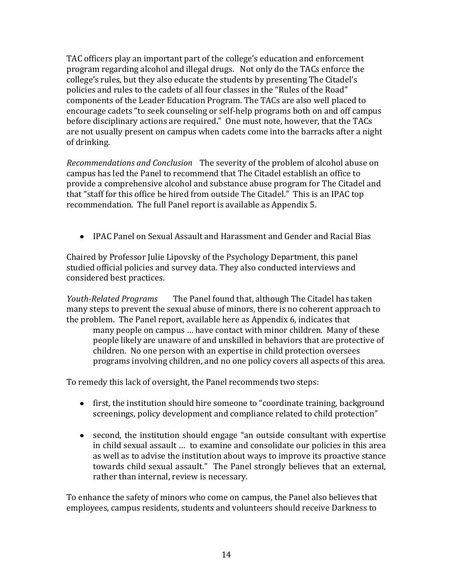TAC officers play an important part of the college's education and enforcement program regarding alcohol and illegal drugs. Not only do the TACs enforce the college's rules, but they also educate the students by presenting The Citadel's policies and rules to the cadets of all four classes in the "Rules of the Road" components of the Leader Education Program. The TACs are also well placed to encourage cadets "to seek counseling or self-help programs both on and off campus before disciplinary actions are required." One must note, however, that the TACs are not usually present on campus when cadets come into the barracks after a night of drinking.

*Recommendations and Conclusion* The severity of the problem of alcohol abuse on campus has led the Panel to recommend that The Citadel establish an office to provide a comprehensive alcohol and substance abuse program for The Citadel and that "staff for this office be hired from outside The Citadel." This is an IPAC top recommendation. The full Panel report is available as Appendix 5.

IPAC Panel on Sexual Assault and Harassment and Gender and Racial Bias

Chaired by Professor Julie Lipovsky of the Psychology Department, this panel studied official policies and survey data. They also conducted interviews and considered best practices.

*Youth-Related Programs* The Panel found that, although The Citadel has taken many steps to prevent the sexual abuse of minors, there is no coherent approach to the problem. The Panel report, available here as Appendix 6, indicates that many people on campus … have contact with minor children. Many of these people likely are unaware of and unskilled in behaviors that are protective of children. No one person with an expertise in child protection oversees programs involving children, and no one policy covers all aspects of this area.

To remedy this lack of oversight, the Panel recommends two steps:

- first, the institution should hire someone to "coordinate training, background screenings, policy development and compliance related to child protection"
- second, the institution should engage "an outside consultant with expertise in child sexual assault … to examine and consolidate our policies in this area as well as to advise the institution about ways to improve its proactive stance towards child sexual assault." The Panel strongly believes that an external, rather than internal, review is necessary.

To enhance the safety of minors who come on campus, the Panel also believes that employees, campus residents, students and volunteers should receive Darkness to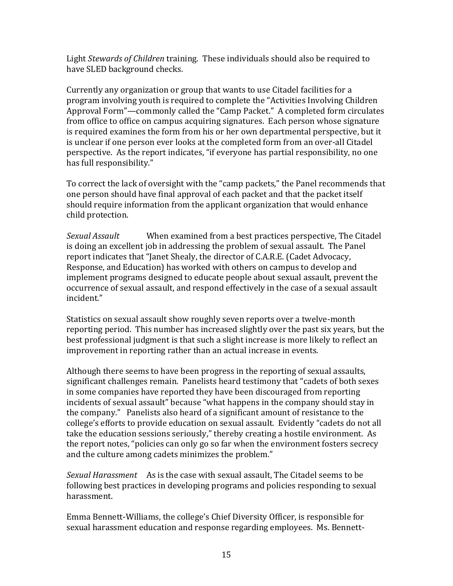Light *Stewards of Children* training. These individuals should also be required to have SLED background checks.

Currently any organization or group that wants to use Citadel facilities for a program involving youth is required to complete the "Activities Involving Children Approval Form"—commonly called the "Camp Packet." A completed form circulates from office to office on campus acquiring signatures. Each person whose signature is required examines the form from his or her own departmental perspective, but it is unclear if one person ever looks at the completed form from an over-all Citadel perspective. As the report indicates, "if everyone has partial responsibility, no one has full responsibility."

To correct the lack of oversight with the "camp packets," the Panel recommends that one person should have final approval of each packet and that the packet itself should require information from the applicant organization that would enhance child protection.

*Sexual Assault* When examined from a best practices perspective, The Citadel is doing an excellent job in addressing the problem of sexual assault. The Panel report indicates that "Janet Shealy, the director of C.A.R.E. (Cadet Advocacy, Response, and Education) has worked with others on campus to develop and implement programs designed to educate people about sexual assault, prevent the occurrence of sexual assault, and respond effectively in the case of a sexual assault incident."

Statistics on sexual assault show roughly seven reports over a twelve-month reporting period. This number has increased slightly over the past six years, but the best professional judgment is that such a slight increase is more likely to reflect an improvement in reporting rather than an actual increase in events.

Although there seems to have been progress in the reporting of sexual assaults, significant challenges remain. Panelists heard testimony that "cadets of both sexes in some companies have reported they have been discouraged from reporting incidents of sexual assault" because "what happens in the company should stay in the company." Panelists also heard of a significant amount of resistance to the college's efforts to provide education on sexual assault. Evidently "cadets do not all take the education sessions seriously," thereby creating a hostile environment. As the report notes, "policies can only go so far when the environment fosters secrecy and the culture among cadets minimizes the problem."

*Sexual Harassment* As is the case with sexual assault, The Citadel seems to be following best practices in developing programs and policies responding to sexual harassment.

Emma Bennett-Williams, the college's Chief Diversity Officer, is responsible for sexual harassment education and response regarding employees. Ms. Bennett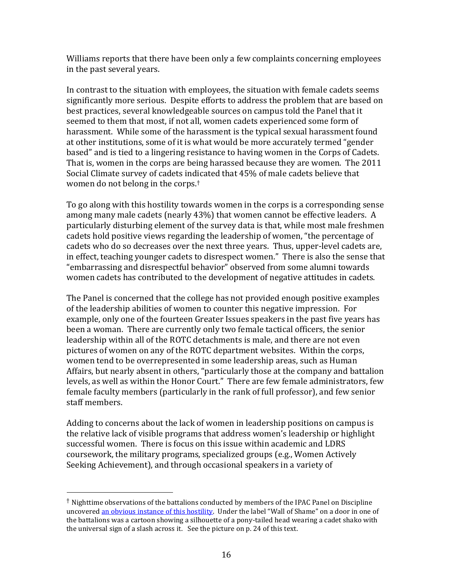Williams reports that there have been only a few complaints concerning employees in the past several years.

In contrast to the situation with employees, the situation with female cadets seems significantly more serious. Despite efforts to address the problem that are based on best practices, several knowledgeable sources on campus told the Panel that it seemed to them that most, if not all, women cadets experienced some form of harassment. While some of the harassment is the typical sexual harassment found at other institutions, some of it is what would be more accurately termed "gender based" and is tied to a lingering resistance to having women in the Corps of Cadets. That is, women in the corps are being harassed because they are women. The 2011 Social Climate survey of cadets indicated that 45% of male cadets believe that women do not belong in the corps.†

<span id="page-15-0"></span>To go along with this hostility towards women in the corps is a corresponding sense among many male cadets (nearly 43%) that women cannot be effective leaders. A particularly disturbing element of the survey data is that, while most male freshmen cadets hold positive views regarding the leadership of women, "the percentage of cadets who do so decreases over the next three years. Thus, upper-level cadets are, in effect, teaching younger cadets to disrespect women." There is also the sense that "embarrassing and disrespectful behavior" observed from some alumni towards women cadets has contributed to the development of negative attitudes in cadets.

The Panel is concerned that the college has not provided enough positive examples of the leadership abilities of women to counter this negative impression. For example, only one of the fourteen Greater Issues speakers in the past five years has been a woman. There are currently only two female tactical officers, the senior leadership within all of the ROTC detachments is male, and there are not even pictures of women on any of the ROTC department websites. Within the corps, women tend to be overrepresented in some leadership areas, such as Human Affairs, but nearly absent in others, "particularly those at the company and battalion levels, as well as within the Honor Court." There are few female administrators, few female faculty members (particularly in the rank of full professor), and few senior staff members.

Adding to concerns about the lack of women in leadership positions on campus is the relative lack of visible programs that address women's leadership or highlight successful women. There is focus on this issue within academic and LDRS coursework, the military programs, specialized groups (e.g., Women Actively Seeking Achievement), and through occasional speakers in a variety of

l

<sup>†</sup> Nighttime observations of the battalions conducted by members of the IPAC Panel on Discipline uncovere[d an obvious instance of this hostility.](#page-22-0) Under the label "Wall of Shame" on a door in one of the battalions was a cartoon showing a silhouette of a pony-tailed head wearing a cadet shako with the universal sign of a slash across it. See the picture on p. 24 of this text.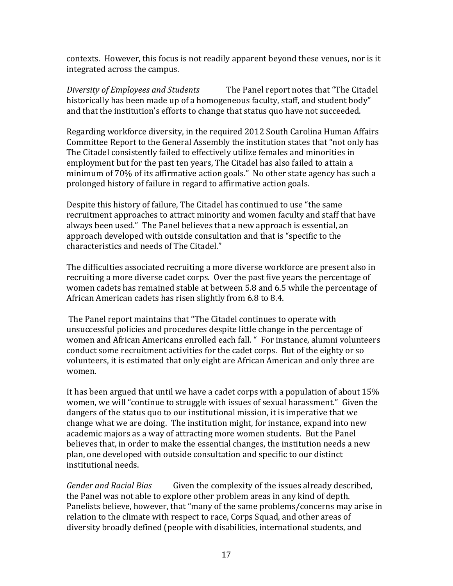contexts. However, this focus is not readily apparent beyond these venues, nor is it integrated across the campus.

*Diversity of Employees and Students* The Panel report notes that "The Citadel historically has been made up of a homogeneous faculty, staff, and student body" and that the institution's efforts to change that status quo have not succeeded.

Regarding workforce diversity, in the required 2012 South Carolina Human Affairs Committee Report to the General Assembly the institution states that "not only has The Citadel consistently failed to effectively utilize females and minorities in employment but for the past ten years, The Citadel has also failed to attain a minimum of 70% of its affirmative action goals." No other state agency has such a prolonged history of failure in regard to affirmative action goals.

Despite this history of failure, The Citadel has continued to use "the same recruitment approaches to attract minority and women faculty and staff that have always been used." The Panel believes that a new approach is essential, an approach developed with outside consultation and that is "specific to the characteristics and needs of The Citadel."

The difficulties associated recruiting a more diverse workforce are present also in recruiting a more diverse cadet corps. Over the past five years the percentage of women cadets has remained stable at between 5.8 and 6.5 while the percentage of African American cadets has risen slightly from 6.8 to 8.4.

The Panel report maintains that "The Citadel continues to operate with unsuccessful policies and procedures despite little change in the percentage of women and African Americans enrolled each fall. " For instance, alumni volunteers conduct some recruitment activities for the cadet corps. But of the eighty or so volunteers, it is estimated that only eight are African American and only three are women.

It has been argued that until we have a cadet corps with a population of about 15% women, we will "continue to struggle with issues of sexual harassment." Given the dangers of the status quo to our institutional mission, it is imperative that we change what we are doing. The institution might, for instance, expand into new academic majors as a way of attracting more women students. But the Panel believes that, in order to make the essential changes, the institution needs a new plan, one developed with outside consultation and specific to our distinct institutional needs.

*Gender and Racial Bias* Given the complexity of the issues already described, the Panel was not able to explore other problem areas in any kind of depth. Panelists believe, however, that "many of the same problems/concerns may arise in relation to the climate with respect to race, Corps Squad, and other areas of diversity broadly defined (people with disabilities, international students, and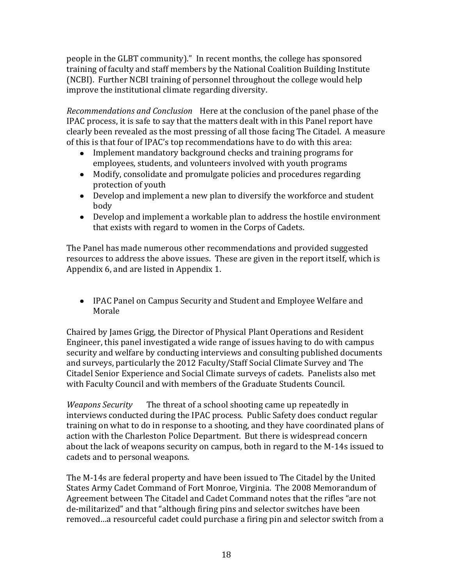people in the GLBT community)." In recent months, the college has sponsored training of faculty and staff members by the National Coalition Building Institute (NCBI). Further NCBI training of personnel throughout the college would help improve the institutional climate regarding diversity.

*Recommendations and Conclusion* Here at the conclusion of the panel phase of the IPAC process, it is safe to say that the matters dealt with in this Panel report have clearly been revealed as the most pressing of all those facing The Citadel. A measure of this is that four of IPAC's top recommendations have to do with this area:

- Implement mandatory background checks and training programs for employees, students, and volunteers involved with youth programs
- Modify, consolidate and promulgate policies and procedures regarding protection of youth
- Develop and implement a new plan to diversify the workforce and student body
- Develop and implement a workable plan to address the hostile environment that exists with regard to women in the Corps of Cadets.

The Panel has made numerous other recommendations and provided suggested resources to address the above issues. These are given in the report itself, which is Appendix 6, and are listed in Appendix 1.

IPAC Panel on Campus Security and Student and Employee Welfare and Morale

Chaired by James Grigg, the Director of Physical Plant Operations and Resident Engineer, this panel investigated a wide range of issues having to do with campus security and welfare by conducting interviews and consulting published documents and surveys, particularly the 2012 Faculty/Staff Social Climate Survey and The Citadel Senior Experience and Social Climate surveys of cadets. Panelists also met with Faculty Council and with members of the Graduate Students Council.

*Weapons Security* The threat of a school shooting came up repeatedly in interviews conducted during the IPAC process. Public Safety does conduct regular training on what to do in response to a shooting, and they have coordinated plans of action with the Charleston Police Department. But there is widespread concern about the lack of weapons security on campus, both in regard to the M-14s issued to cadets and to personal weapons.

The M-14s are federal property and have been issued to The Citadel by the United States Army Cadet Command of Fort Monroe, Virginia. The 2008 Memorandum of Agreement between The Citadel and Cadet Command notes that the rifles "are not de-militarized" and that "although firing pins and selector switches have been removed…a resourceful cadet could purchase a firing pin and selector switch from a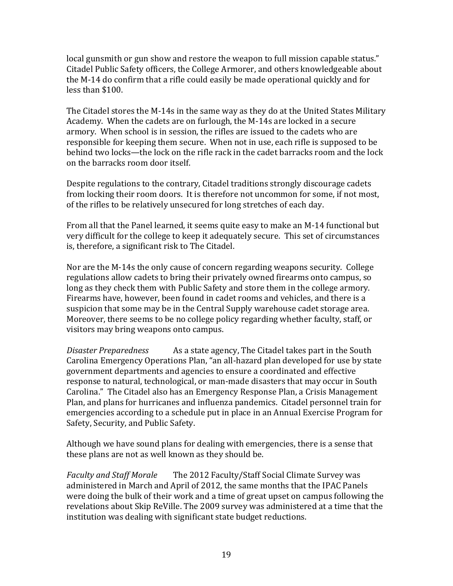local gunsmith or gun show and restore the weapon to full mission capable status." Citadel Public Safety officers, the College Armorer, and others knowledgeable about the M-14 do confirm that a rifle could easily be made operational quickly and for less than \$100.

The Citadel stores the M-14s in the same way as they do at the United States Military Academy. When the cadets are on furlough, the M-14s are locked in a secure armory. When school is in session, the rifles are issued to the cadets who are responsible for keeping them secure. When not in use, each rifle is supposed to be behind two locks—the lock on the rifle rack in the cadet barracks room and the lock on the barracks room door itself.

Despite regulations to the contrary, Citadel traditions strongly discourage cadets from locking their room doors. It is therefore not uncommon for some, if not most, of the rifles to be relatively unsecured for long stretches of each day.

From all that the Panel learned, it seems quite easy to make an M-14 functional but very difficult for the college to keep it adequately secure. This set of circumstances is, therefore, a significant risk to The Citadel.

Nor are the M-14s the only cause of concern regarding weapons security. College regulations allow cadets to bring their privately owned firearms onto campus, so long as they check them with Public Safety and store them in the college armory. Firearms have, however, been found in cadet rooms and vehicles, and there is a suspicion that some may be in the Central Supply warehouse cadet storage area. Moreover, there seems to be no college policy regarding whether faculty, staff, or visitors may bring weapons onto campus.

*Disaster Preparedness* As a state agency, The Citadel takes part in the South Carolina Emergency Operations Plan, "an all-hazard plan developed for use by state government departments and agencies to ensure a coordinated and effective response to natural, technological, or man-made disasters that may occur in South Carolina." The Citadel also has an Emergency Response Plan, a Crisis Management Plan, and plans for hurricanes and influenza pandemics. Citadel personnel train for emergencies according to a schedule put in place in an Annual Exercise Program for Safety, Security, and Public Safety.

Although we have sound plans for dealing with emergencies, there is a sense that these plans are not as well known as they should be.

*Faculty and Staff Morale* The 2012 Faculty/Staff Social Climate Survey was administered in March and April of 2012, the same months that the IPAC Panels were doing the bulk of their work and a time of great upset on campus following the revelations about Skip ReVille. The 2009 survey was administered at a time that the institution was dealing with significant state budget reductions.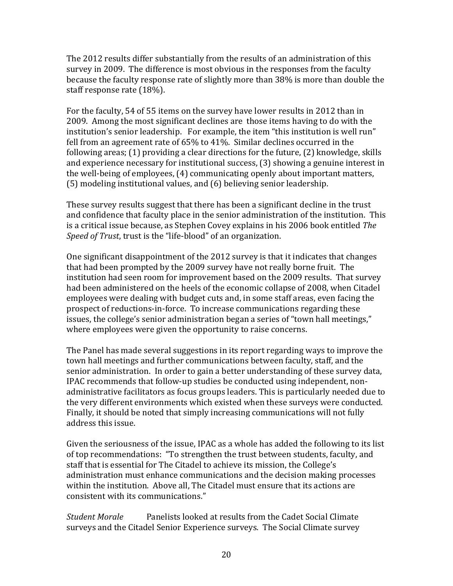The 2012 results differ substantially from the results of an administration of this survey in 2009. The difference is most obvious in the responses from the faculty because the faculty response rate of slightly more than 38% is more than double the staff response rate (18%).

For the faculty, 54 of 55 items on the survey have lower results in 2012 than in 2009. Among the most significant declines are those items having to do with the institution's senior leadership. For example, the item "this institution is well run" fell from an agreement rate of 65% to 41%. Similar declines occurred in the following areas; (1) providing a clear directions for the future, (2) knowledge, skills and experience necessary for institutional success, (3) showing a genuine interest in the well-being of employees, (4) communicating openly about important matters, (5) modeling institutional values, and (6) believing senior leadership.

These survey results suggest that there has been a significant decline in the trust and confidence that faculty place in the senior administration of the institution. This is a critical issue because, as Stephen Covey explains in his 2006 book entitled *The Speed of Trust*, trust is the "life-blood" of an organization.

One significant disappointment of the 2012 survey is that it indicates that changes that had been prompted by the 2009 survey have not really borne fruit. The institution had seen room for improvement based on the 2009 results. That survey had been administered on the heels of the economic collapse of 2008, when Citadel employees were dealing with budget cuts and, in some staff areas, even facing the prospect of reductions-in-force. To increase communications regarding these issues, the college's senior administration began a series of "town hall meetings," where employees were given the opportunity to raise concerns.

The Panel has made several suggestions in its report regarding ways to improve the town hall meetings and further communications between faculty, staff, and the senior administration. In order to gain a better understanding of these survey data, IPAC recommends that follow-up studies be conducted using independent, nonadministrative facilitators as focus groups leaders. This is particularly needed due to the very different environments which existed when these surveys were conducted. Finally, it should be noted that simply increasing communications will not fully address this issue.

Given the seriousness of the issue, IPAC as a whole has added the following to its list of top recommendations: "To strengthen the trust between students, faculty, and staff that is essential for The Citadel to achieve its mission, the College's administration must enhance communications and the decision making processes within the institution. Above all, The Citadel must ensure that its actions are consistent with its communications."

*Student Morale* Panelists looked at results from the Cadet Social Climate surveys and the Citadel Senior Experience surveys. The Social Climate survey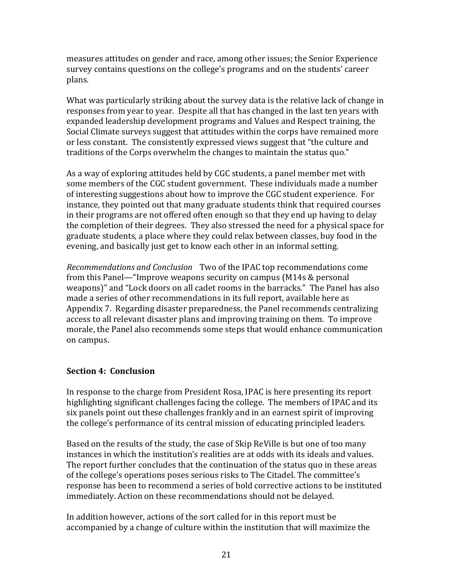measures attitudes on gender and race, among other issues; the Senior Experience survey contains questions on the college's programs and on the students' career plans.

What was particularly striking about the survey data is the relative lack of change in responses from year to year. Despite all that has changed in the last ten years with expanded leadership development programs and Values and Respect training, the Social Climate surveys suggest that attitudes within the corps have remained more or less constant. The consistently expressed views suggest that "the culture and traditions of the Corps overwhelm the changes to maintain the status quo."

As a way of exploring attitudes held by CGC students, a panel member met with some members of the CGC student government. These individuals made a number of interesting suggestions about how to improve the CGC student experience. For instance, they pointed out that many graduate students think that required courses in their programs are not offered often enough so that they end up having to delay the completion of their degrees. They also stressed the need for a physical space for graduate students, a place where they could relax between classes, buy food in the evening, and basically just get to know each other in an informal setting.

*Recommendations and Conclusion* Two of the IPAC top recommendations come from this Panel—"Improve weapons security on campus (M14s & personal weapons)" and "Lock doors on all cadet rooms in the barracks." The Panel has also made a series of other recommendations in its full report, available here as Appendix 7. Regarding disaster preparedness, the Panel recommends centralizing access to all relevant disaster plans and improving training on them. To improve morale, the Panel also recommends some steps that would enhance communication on campus.

# **Section 4: Conclusion**

In response to the charge from President Rosa, IPAC is here presenting its report highlighting significant challenges facing the college. The members of IPAC and its six panels point out these challenges frankly and in an earnest spirit of improving the college's performance of its central mission of educating principled leaders.

Based on the results of the study, the case of Skip ReVille is but one of too many instances in which the institution's realities are at odds with its ideals and values. The report further concludes that the continuation of the status quo in these areas of the college's operations poses serious risks to The Citadel. The committee's response has been to recommend a series of bold corrective actions to be instituted immediately. Action on these recommendations should not be delayed.

In addition however, actions of the sort called for in this report must be accompanied by a change of culture within the institution that will maximize the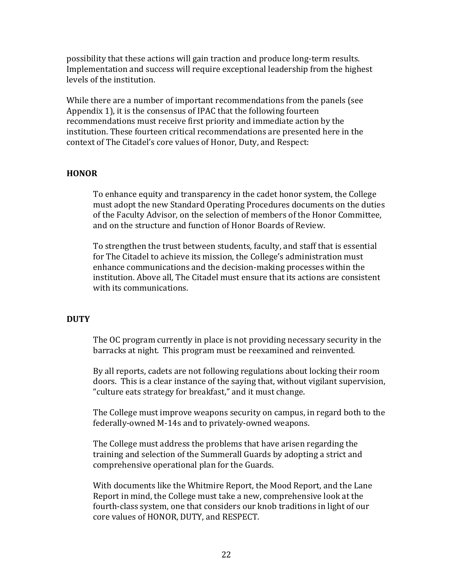possibility that these actions will gain traction and produce long-term results. Implementation and success will require exceptional leadership from the highest levels of the institution.

While there are a number of important recommendations from the panels (see Appendix 1), it is the consensus of IPAC that the following fourteen recommendations must receive first priority and immediate action by the institution. These fourteen critical recommendations are presented here in the context of The Citadel's core values of Honor, Duty, and Respect:

### **HONOR**

To enhance equity and transparency in the cadet honor system, the College must adopt the new Standard Operating Procedures documents on the duties of the Faculty Advisor, on the selection of members of the Honor Committee, and on the structure and function of Honor Boards of Review.

To strengthen the trust between students, faculty, and staff that is essential for The Citadel to achieve its mission, the College's administration must enhance communications and the decision-making processes within the institution. Above all, The Citadel must ensure that its actions are consistent with its communications.

#### **DUTY**

The OC program currently in place is not providing necessary security in the barracks at night. This program must be reexamined and reinvented.

By all reports, cadets are not following regulations about locking their room doors. This is a clear instance of the saying that, without vigilant supervision, "culture eats strategy for breakfast," and it must change.

The College must improve weapons security on campus, in regard both to the federally-owned M-14s and to privately-owned weapons.

The College must address the problems that have arisen regarding the training and selection of the Summerall Guards by adopting a strict and comprehensive operational plan for the Guards.

With documents like the Whitmire Report, the Mood Report, and the Lane Report in mind, the College must take a new, comprehensive look at the fourth-class system, one that considers our knob traditions in light of our core values of HONOR, DUTY, and RESPECT.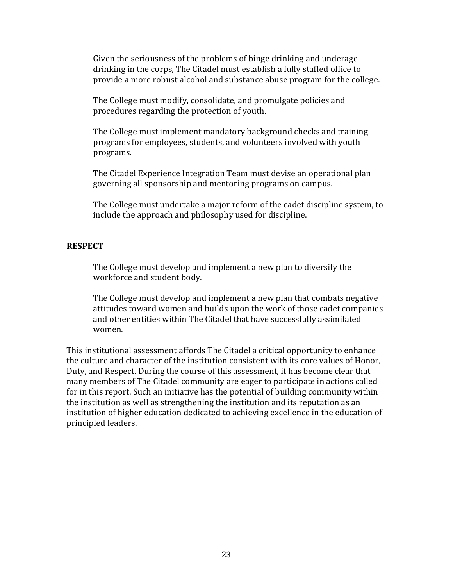Given the seriousness of the problems of binge drinking and underage drinking in the corps, The Citadel must establish a fully staffed office to provide a more robust alcohol and substance abuse program for the college.

The College must modify, consolidate, and promulgate policies and procedures regarding the protection of youth.

The College must implement mandatory background checks and training programs for employees, students, and volunteers involved with youth programs.

The Citadel Experience Integration Team must devise an operational plan governing all sponsorship and mentoring programs on campus.

The College must undertake a major reform of the cadet discipline system, to include the approach and philosophy used for discipline.

#### **RESPECT**

The College must develop and implement a new plan to diversify the workforce and student body.

The College must develop and implement a new plan that combats negative attitudes toward women and builds upon the work of those cadet companies and other entities within The Citadel that have successfully assimilated women.

<span id="page-22-0"></span>This institutional assessment affords The Citadel a critical opportunity to enhance the culture and character of the institution consistent with its core values of Honor, Duty, and Respect. During the course of this assessment, it has become clear that many members of The Citadel community are eager to participate in actions called for in this report. Such an initiative has the potential of building community within the institution as well as strengthening the institution and its reputation as an institution of higher education dedicated to achieving excellence in the education of principled leaders.